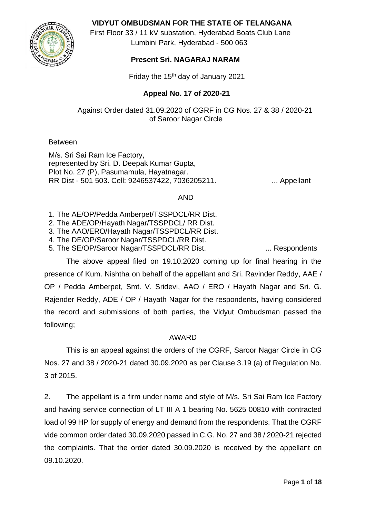**VIDYUT OMBUDSMAN FOR THE STATE OF TELANGANA**



 First Floor 33 / 11 kV substation, Hyderabad Boats Club Lane Lumbini Park, Hyderabad - 500 063

# **Present Sri. NAGARAJ NARAM**

Friday the 15th day of January 2021

### **Appeal No. 17 of 2020-21**

Against Order dated 31.09.2020 of CGRF in CG Nos. 27 & 38 / 2020-21 of Saroor Nagar Circle

#### Between

M/s. Sri Sai Ram Ice Factory, represented by Sri. D. Deepak Kumar Gupta, Plot No. 27 (P), Pasumamula, Hayatnagar. RR Dist - 501 503. Cell: 9246537422, 7036205211. ... Appellant

### AND

1. The AE/OP/Pedda Amberpet/TSSPDCL/RR Dist.

- 2. The ADE/OP/Hayath Nagar/TSSPDCL/ RR Dist.
- 3. The AAO/ERO/Hayath Nagar/TSSPDCL/RR Dist.
- 4. The DE/OP/Saroor Nagar/TSSPDCL/RR Dist.
- 5. The SE/OP/Saroor Nagar/TSSPDCL/RR Dist. .... ... Respondents

The above appeal filed on 19.10.2020 coming up for final hearing in the presence of Kum. Nishtha on behalf of the appellant and Sri. Ravinder Reddy, AAE / OP / Pedda Amberpet, Smt. V. Sridevi, AAO / ERO / Hayath Nagar and Sri. G. Rajender Reddy, ADE / OP / Hayath Nagar for the respondents, having considered the record and submissions of both parties, the Vidyut Ombudsman passed the following;

## AWARD

This is an appeal against the orders of the CGRF, Saroor Nagar Circle in CG Nos. 27 and 38 / 2020-21 dated 30.09.2020 as per Clause 3.19 (a) of Regulation No. 3 of 2015.

2. The appellant is a firm under name and style of M/s. Sri Sai Ram Ice Factory and having service connection of LT III A 1 bearing No. 5625 00810 with contracted load of 99 HP for supply of energy and demand from the respondents. That the CGRF vide common order dated 30.09.2020 passed in C.G. No. 27 and 38 / 2020-21 rejected the complaints. That the order dated 30.09.2020 is received by the appellant on 09.10.2020.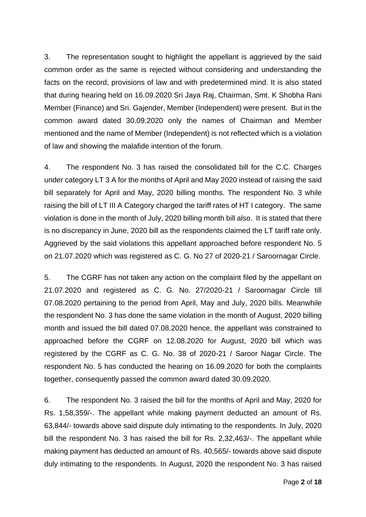3. The representation sought to highlight the appellant is aggrieved by the said common order as the same is rejected without considering and understanding the facts on the record, provisions of law and with predetermined mind. It is also stated that during hearing held on 16.09.2020 Sri Jaya Raj, Chairman, Smt. K Shobha Rani Member (Finance) and Sri. Gajender, Member (Independent) were present. But in the common award dated 30.09.2020 only the names of Chairman and Member mentioned and the name of Member (Independent) is not reflected which is a violation of law and showing the malafide intention of the forum.

4. The respondent No. 3 has raised the consolidated bill for the C.C. Charges under category LT 3 A for the months of April and May 2020 instead of raising the said bill separately for April and May, 2020 billing months. The respondent No. 3 while raising the bill of LT III A Category charged the tariff rates of HT I category. The same violation is done in the month of July, 2020 billing month bill also. It is stated that there is no discrepancy in June, 2020 bill as the respondents claimed the LT tariff rate only. Aggrieved by the said violations this appellant approached before respondent No. 5 on 21.07.2020 which was registered as C. G. No 27 of 2020-21 / Saroornagar Circle.

5. The CGRF has not taken any action on the complaint filed by the appellant on 21.07.2020 and registered as C. G. No. 27/2020-21 / Saroornagar Circle till 07.08.2020 pertaining to the period from April, May and July, 2020 bills. Meanwhile the respondent No. 3 has done the same violation in the month of August, 2020 billing month and issued the bill dated 07.08.2020 hence, the appellant was constrained to approached before the CGRF on 12.08.2020 for August, 2020 bill which was registered by the CGRF as C. G. No. 38 of 2020-21 / Saroor Nagar Circle. The respondent No. 5 has conducted the hearing on 16.09.2020 for both the complaints together, consequently passed the common award dated 30.09.2020.

6. The respondent No. 3 raised the bill for the months of April and May, 2020 for Rs. 1,58,359/-. The appellant while making payment deducted an amount of Rs. 63,844/- towards above said dispute duly intimating to the respondents. In July, 2020 bill the respondent No. 3 has raised the bill for Rs. 2,32,463/-. The appellant while making payment has deducted an amount of Rs. 40,565/- towards above said dispute duly intimating to the respondents. In August, 2020 the respondent No. 3 has raised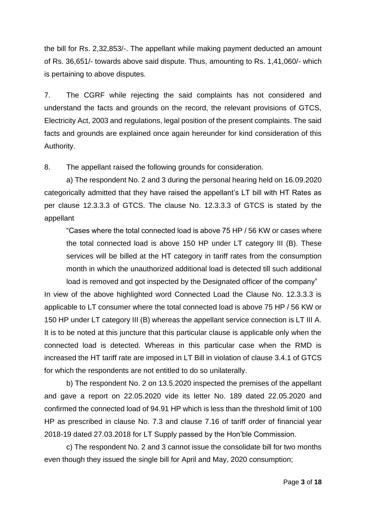the bill for Rs. 2,32,853/-. The appellant while making payment deducted an amount of Rs. 36,651/- towards above said dispute. Thus, amounting to Rs. 1,41,060/- which is pertaining to above disputes.

7. The CGRF while rejecting the said complaints has not considered and understand the facts and grounds on the record, the relevant provisions of GTCS, Electricity Act, 2003 and regulations, legal position of the present complaints. The said facts and grounds are explained once again hereunder for kind consideration of this Authority.

8. The appellant raised the following grounds for consideration.

a) The respondent No. 2 and 3 during the personal hearing held on 16.09.2020 categorically admitted that they have raised the appellant's LT bill with HT Rates as per clause 12.3.3.3 of GTCS. The clause No. 12.3.3.3 of GTCS is stated by the appellant

"Cases where the total connected load is above 75 HP / 56 KW or cases where the total connected load is above 150 HP under LT category III (B). These services will be billed at the HT category in tariff rates from the consumption month in which the unauthorized additional load is detected till such additional load is removed and got inspected by the Designated officer of the company"

In view of the above highlighted word Connected Load the Clause No. 12.3.3.3 is applicable to LT consumer where the total connected load is above 75 HP / 56 KW or 150 HP under LT category III (B) whereas the appellant service connection is LT III A. It is to be noted at this juncture that this particular clause is applicable only when the connected load is detected. Whereas in this particular case when the RMD is increased the HT tariff rate are imposed in LT Bill in violation of clause 3.4.1 of GTCS for which the respondents are not entitled to do so unilaterally.

b) The respondent No. 2 on 13.5.2020 inspected the premises of the appellant and gave a report on 22.05.2020 vide its letter No. 189 dated 22.05.2020 and confirmed the connected load of 94.91 HP which is less than the threshold limit of 100 HP as prescribed in clause No. 7.3 and clause 7.16 of tariff order of financial year 2018-19 dated 27.03.2018 for LT Supply passed by the Hon'ble Commission.

c) The respondent No. 2 and 3 cannot issue the consolidate bill for two months even though they issued the single bill for April and May, 2020 consumption;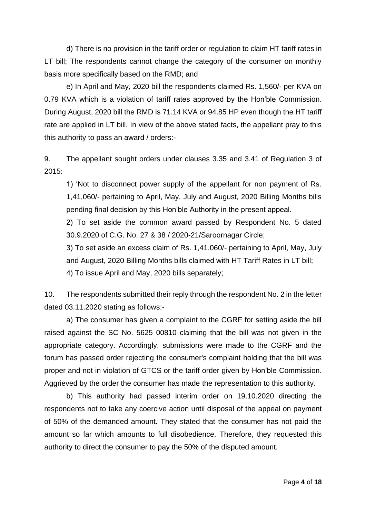d) There is no provision in the tariff order or regulation to claim HT tariff rates in LT bill; The respondents cannot change the category of the consumer on monthly basis more specifically based on the RMD; and

e) In April and May, 2020 bill the respondents claimed Rs. 1,560/- per KVA on 0.79 KVA which is a violation of tariff rates approved by the Hon'ble Commission. During August, 2020 bill the RMD is 71.14 KVA or 94.85 HP even though the HT tariff rate are applied in LT bill. In view of the above stated facts, the appellant pray to this this authority to pass an award / orders:-

9. The appellant sought orders under clauses 3.35 and 3.41 of Regulation 3 of 2015:

1) 'Not to disconnect power supply of the appellant for non payment of Rs. 1,41,060/- pertaining to April, May, July and August, 2020 Billing Months bills pending final decision by this Hon'ble Authority in the present appeal.

2) To set aside the common award passed by Respondent No. 5 dated 30.9.2020 of C.G. No. 27 & 38 / 2020-21/Saroornagar Circle;

3) To set aside an excess claim of Rs. 1,41,060/- pertaining to April, May, July and August, 2020 Billing Months bills claimed with HT Tariff Rates in LT bill; 4) To issue April and May, 2020 bills separately;

10. The respondents submitted their reply through the respondent No. 2 in the letter dated 03.11.2020 stating as follows:-

a) The consumer has given a complaint to the CGRF for setting aside the bill raised against the SC No. 5625 00810 claiming that the bill was not given in the appropriate category. Accordingly, submissions were made to the CGRF and the forum has passed order rejecting the consumer's complaint holding that the bill was proper and not in violation of GTCS or the tariff order given by Hon'ble Commission. Aggrieved by the order the consumer has made the representation to this authority.

b) This authority had passed interim order on 19.10.2020 directing the respondents not to take any coercive action until disposal of the appeal on payment of 50% of the demanded amount. They stated that the consumer has not paid the amount so far which amounts to full disobedience. Therefore, they requested this authority to direct the consumer to pay the 50% of the disputed amount.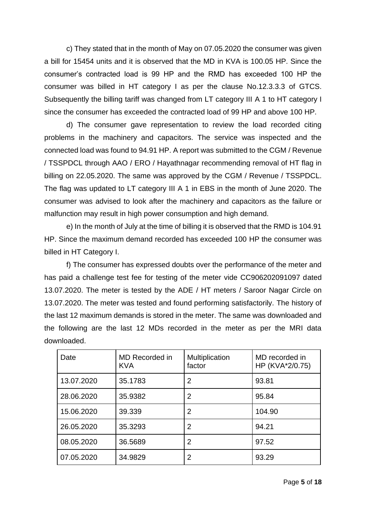c) They stated that in the month of May on 07.05.2020 the consumer was given a bill for 15454 units and it is observed that the MD in KVA is 100.05 HP. Since the consumer's contracted load is 99 HP and the RMD has exceeded 100 HP the consumer was billed in HT category I as per the clause No.12.3.3.3 of GTCS. Subsequently the billing tariff was changed from LT category III A 1 to HT category I since the consumer has exceeded the contracted load of 99 HP and above 100 HP.

d) The consumer gave representation to review the load recorded citing problems in the machinery and capacitors. The service was inspected and the connected load was found to 94.91 HP. A report was submitted to the CGM / Revenue / TSSPDCL through AAO / ERO / Hayathnagar recommending removal of HT flag in billing on 22.05.2020. The same was approved by the CGM / Revenue / TSSPDCL. The flag was updated to LT category III A 1 in EBS in the month of June 2020. The consumer was advised to look after the machinery and capacitors as the failure or malfunction may result in high power consumption and high demand.

e) In the month of July at the time of billing it is observed that the RMD is 104.91 HP. Since the maximum demand recorded has exceeded 100 HP the consumer was billed in HT Category I.

f) The consumer has expressed doubts over the performance of the meter and has paid a challenge test fee for testing of the meter vide CC906202091097 dated 13.07.2020. The meter is tested by the ADE / HT meters / Saroor Nagar Circle on 13.07.2020. The meter was tested and found performing satisfactorily. The history of the last 12 maximum demands is stored in the meter. The same was downloaded and the following are the last 12 MDs recorded in the meter as per the MRI data downloaded.

| Date       | MD Recorded in<br><b>KVA</b> | Multiplication<br>factor | MD recorded in<br>HP (KVA*2/0.75) |
|------------|------------------------------|--------------------------|-----------------------------------|
| 13.07.2020 | 35.1783                      | 2                        | 93.81                             |
| 28.06.2020 | 35.9382                      | 2                        | 95.84                             |
| 15.06.2020 | 39.339                       | $\overline{2}$           | 104.90                            |
| 26.05.2020 | 35.3293                      | $\overline{2}$           | 94.21                             |
| 08.05.2020 | 36.5689                      | $\overline{2}$           | 97.52                             |
| 07.05.2020 | 34.9829                      | 2                        | 93.29                             |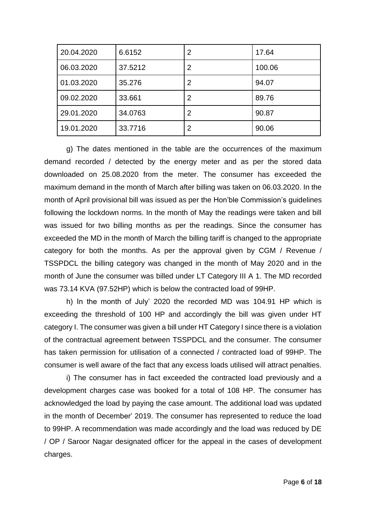| 20.04.2020 | 6.6152  | $\overline{2}$ | 17.64  |
|------------|---------|----------------|--------|
| 06.03.2020 | 37.5212 | 2              | 100.06 |
| 01.03.2020 | 35.276  | 2              | 94.07  |
| 09.02.2020 | 33.661  | 2              | 89.76  |
| 29.01.2020 | 34.0763 | $\overline{2}$ | 90.87  |
| 19.01.2020 | 33.7716 | 2              | 90.06  |

g) The dates mentioned in the table are the occurrences of the maximum demand recorded / detected by the energy meter and as per the stored data downloaded on 25.08.2020 from the meter. The consumer has exceeded the maximum demand in the month of March after billing was taken on 06.03.2020. In the month of April provisional bill was issued as per the Hon'ble Commission's guidelines following the lockdown norms. In the month of May the readings were taken and bill was issued for two billing months as per the readings. Since the consumer has exceeded the MD in the month of March the billing tariff is changed to the appropriate category for both the months. As per the approval given by CGM / Revenue / TSSPDCL the billing category was changed in the month of May 2020 and in the month of June the consumer was billed under LT Category III A 1. The MD recorded was 73.14 KVA (97.52HP) which is below the contracted load of 99HP.

h) In the month of July' 2020 the recorded MD was 104.91 HP which is exceeding the threshold of 100 HP and accordingly the bill was given under HT category I. The consumer was given a bill under HT Category I since there is a violation of the contractual agreement between TSSPDCL and the consumer. The consumer has taken permission for utilisation of a connected / contracted load of 99HP. The consumer is well aware of the fact that any excess loads utilised will attract penalties.

i) The consumer has in fact exceeded the contracted load previously and a development charges case was booked for a total of 108 HP. The consumer has acknowledged the load by paying the case amount. The additional load was updated in the month of December' 2019. The consumer has represented to reduce the load to 99HP. A recommendation was made accordingly and the load was reduced by DE / OP / Saroor Nagar designated officer for the appeal in the cases of development charges.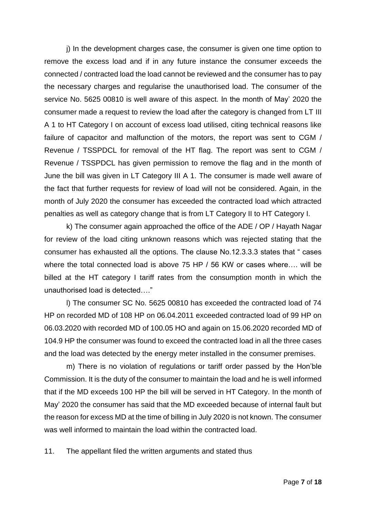j) In the development charges case, the consumer is given one time option to remove the excess load and if in any future instance the consumer exceeds the connected / contracted load the load cannot be reviewed and the consumer has to pay the necessary charges and regularise the unauthorised load. The consumer of the service No. 5625 00810 is well aware of this aspect. In the month of May' 2020 the consumer made a request to review the load after the category is changed from LT III A 1 to HT Category I on account of excess load utilised, citing technical reasons like failure of capacitor and malfunction of the motors, the report was sent to CGM / Revenue / TSSPDCL for removal of the HT flag. The report was sent to CGM / Revenue / TSSPDCL has given permission to remove the flag and in the month of June the bill was given in LT Category III A 1. The consumer is made well aware of the fact that further requests for review of load will not be considered. Again, in the month of July 2020 the consumer has exceeded the contracted load which attracted penalties as well as category change that is from LT Category II to HT Category I.

k) The consumer again approached the office of the ADE / OP / Hayath Nagar for review of the load citing unknown reasons which was rejected stating that the consumer has exhausted all the options. The clause No.12.3.3.3 states that " cases where the total connected load is above 75 HP / 56 KW or cases where..., will be billed at the HT category I tariff rates from the consumption month in which the unauthorised load is detected…."

l) The consumer SC No. 5625 00810 has exceeded the contracted load of 74 HP on recorded MD of 108 HP on 06.04.2011 exceeded contracted load of 99 HP on 06.03.2020 with recorded MD of 100.05 HO and again on 15.06.2020 recorded MD of 104.9 HP the consumer was found to exceed the contracted load in all the three cases and the load was detected by the energy meter installed in the consumer premises.

m) There is no violation of regulations or tariff order passed by the Hon'ble Commission. It is the duty of the consumer to maintain the load and he is well informed that if the MD exceeds 100 HP the bill will be served in HT Category. In the month of May' 2020 the consumer has said that the MD exceeded because of internal fault but the reason for excess MD at the time of billing in July 2020 is not known. The consumer was well informed to maintain the load within the contracted load.

11. The appellant filed the written arguments and stated thus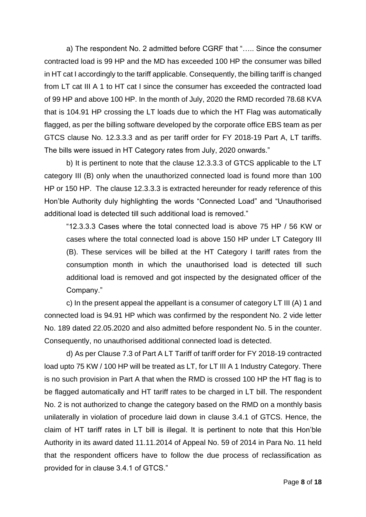a) The respondent No. 2 admitted before CGRF that "….. Since the consumer contracted load is 99 HP and the MD has exceeded 100 HP the consumer was billed in HT cat I accordingly to the tariff applicable. Consequently, the billing tariff is changed from LT cat III A 1 to HT cat I since the consumer has exceeded the contracted load of 99 HP and above 100 HP. In the month of July, 2020 the RMD recorded 78.68 KVA that is 104.91 HP crossing the LT loads due to which the HT Flag was automatically flagged, as per the billing software developed by the corporate office EBS team as per GTCS clause No. 12.3.3.3 and as per tariff order for FY 2018-19 Part A, LT tariffs. The bills were issued in HT Category rates from July, 2020 onwards."

b) It is pertinent to note that the clause 12.3.3.3 of GTCS applicable to the LT category III (B) only when the unauthorized connected load is found more than 100 HP or 150 HP. The clause 12.3.3.3 is extracted hereunder for ready reference of this Hon'ble Authority duly highlighting the words "Connected Load" and "Unauthorised additional load is detected till such additional load is removed."

"12.3.3.3 Cases where the total connected load is above 75 HP / 56 KW or cases where the total connected load is above 150 HP under LT Category III (B). These services will be billed at the HT Category I tariff rates from the consumption month in which the unauthorised load is detected till such additional load is removed and got inspected by the designated officer of the Company."

c) In the present appeal the appellant is a consumer of category LT III (A) 1 and connected load is 94.91 HP which was confirmed by the respondent No. 2 vide letter No. 189 dated 22.05.2020 and also admitted before respondent No. 5 in the counter. Consequently, no unauthorised additional connected load is detected.

d) As per Clause 7.3 of Part A LT Tariff of tariff order for FY 2018-19 contracted load upto 75 KW / 100 HP will be treated as LT, for LT III A 1 Industry Category. There is no such provision in Part A that when the RMD is crossed 100 HP the HT flag is to be flagged automatically and HT tariff rates to be charged in LT bill. The respondent No. 2 is not authorized to change the category based on the RMD on a monthly basis unilaterally in violation of procedure laid down in clause 3.4.1 of GTCS. Hence, the claim of HT tariff rates in LT bill is illegal. It is pertinent to note that this Hon'ble Authority in its award dated 11.11.2014 of Appeal No. 59 of 2014 in Para No. 11 held that the respondent officers have to follow the due process of reclassification as provided for in clause 3.4.1 of GTCS."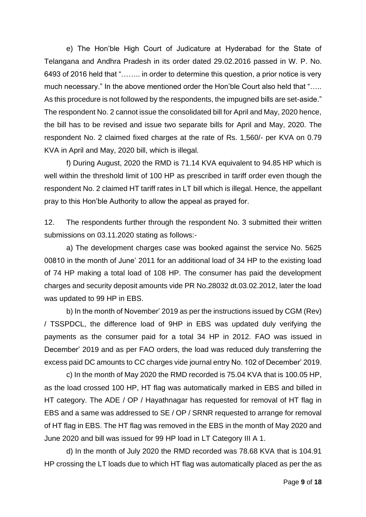e) The Hon'ble High Court of Judicature at Hyderabad for the State of Telangana and Andhra Pradesh in its order dated 29.02.2016 passed in W. P. No. 6493 of 2016 held that "…….. in order to determine this question, a prior notice is very much necessary." In the above mentioned order the Hon'ble Court also held that "….. As this procedure is not followed by the respondents, the impugned bills are set-aside." The respondent No. 2 cannot issue the consolidated bill for April and May, 2020 hence, the bill has to be revised and issue two separate bills for April and May, 2020. The respondent No. 2 claimed fixed charges at the rate of Rs. 1,560/- per KVA on 0.79 KVA in April and May, 2020 bill, which is illegal.

f) During August, 2020 the RMD is 71.14 KVA equivalent to 94.85 HP which is well within the threshold limit of 100 HP as prescribed in tariff order even though the respondent No. 2 claimed HT tariff rates in LT bill which is illegal. Hence, the appellant pray to this Hon'ble Authority to allow the appeal as prayed for.

12. The respondents further through the respondent No. 3 submitted their written submissions on 03.11.2020 stating as follows:-

a) The development charges case was booked against the service No. 5625 00810 in the month of June' 2011 for an additional load of 34 HP to the existing load of 74 HP making a total load of 108 HP. The consumer has paid the development charges and security deposit amounts vide PR No.28032 dt.03.02.2012, later the load was updated to 99 HP in EBS.

b) In the month of November' 2019 as per the instructions issued by CGM (Rev) / TSSPDCL, the difference load of 9HP in EBS was updated duly verifying the payments as the consumer paid for a total 34 HP in 2012. FAO was issued in December' 2019 and as per FAO orders, the load was reduced duly transferring the excess paid DC amounts to CC charges vide journal entry No. 102 of December' 2019.

c) In the month of May 2020 the RMD recorded is 75.04 KVA that is 100.05 HP, as the load crossed 100 HP, HT flag was automatically marked in EBS and billed in HT category. The ADE / OP / Hayathnagar has requested for removal of HT flag in EBS and a same was addressed to SE / OP / SRNR requested to arrange for removal of HT flag in EBS. The HT flag was removed in the EBS in the month of May 2020 and June 2020 and bill was issued for 99 HP load in LT Category III A 1.

d) In the month of July 2020 the RMD recorded was 78.68 KVA that is 104.91 HP crossing the LT loads due to which HT flag was automatically placed as per the as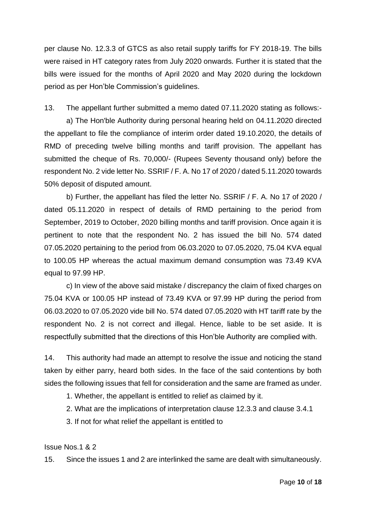per clause No. 12.3.3 of GTCS as also retail supply tariffs for FY 2018-19. The bills were raised in HT category rates from July 2020 onwards. Further it is stated that the bills were issued for the months of April 2020 and May 2020 during the lockdown period as per Hon'ble Commission's guidelines.

13. The appellant further submitted a memo dated 07.11.2020 stating as follows:-

a) The Hon'ble Authority during personal hearing held on 04.11.2020 directed the appellant to file the compliance of interim order dated 19.10.2020, the details of RMD of preceding twelve billing months and tariff provision. The appellant has submitted the cheque of Rs. 70,000/- (Rupees Seventy thousand only) before the respondent No. 2 vide letter No. SSRIF / F. A. No 17 of 2020 / dated 5.11.2020 towards 50% deposit of disputed amount.

b) Further, the appellant has filed the letter No. SSRIF / F. A. No 17 of 2020 / dated 05.11.2020 in respect of details of RMD pertaining to the period from September, 2019 to October, 2020 billing months and tariff provision. Once again it is pertinent to note that the respondent No. 2 has issued the bill No. 574 dated 07.05.2020 pertaining to the period from 06.03.2020 to 07.05.2020, 75.04 KVA equal to 100.05 HP whereas the actual maximum demand consumption was 73.49 KVA equal to 97.99 HP.

c) In view of the above said mistake / discrepancy the claim of fixed charges on 75.04 KVA or 100.05 HP instead of 73.49 KVA or 97.99 HP during the period from 06.03.2020 to 07.05.2020 vide bill No. 574 dated 07.05.2020 with HT tariff rate by the respondent No. 2 is not correct and illegal. Hence, liable to be set aside. It is respectfully submitted that the directions of this Hon'ble Authority are complied with.

14. This authority had made an attempt to resolve the issue and noticing the stand taken by either parry, heard both sides. In the face of the said contentions by both sides the following issues that fell for consideration and the same are framed as under.

1. Whether, the appellant is entitled to relief as claimed by it.

2. What are the implications of interpretation clause 12.3.3 and clause 3.4.1

3. If not for what relief the appellant is entitled to

Issue Nos.1 & 2

15. Since the issues 1 and 2 are interlinked the same are dealt with simultaneously.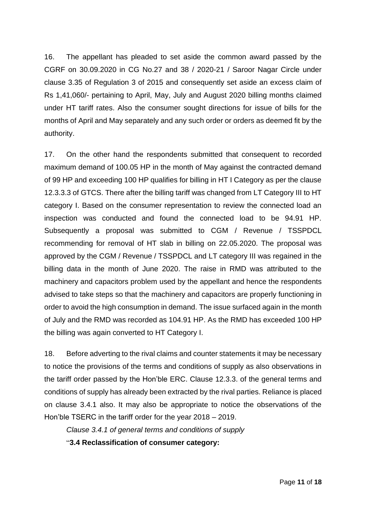16. The appellant has pleaded to set aside the common award passed by the CGRF on 30.09.2020 in CG No.27 and 38 / 2020-21 / Saroor Nagar Circle under clause 3.35 of Regulation 3 of 2015 and consequently set aside an excess claim of Rs 1,41,060/- pertaining to April, May, July and August 2020 billing months claimed under HT tariff rates. Also the consumer sought directions for issue of bills for the months of April and May separately and any such order or orders as deemed fit by the authority.

17. On the other hand the respondents submitted that consequent to recorded maximum demand of 100.05 HP in the month of May against the contracted demand of 99 HP and exceeding 100 HP qualifies for billing in HT I Category as per the clause 12.3.3.3 of GTCS. There after the billing tariff was changed from LT Category III to HT category I. Based on the consumer representation to review the connected load an inspection was conducted and found the connected load to be 94.91 HP. Subsequently a proposal was submitted to CGM / Revenue / TSSPDCL recommending for removal of HT slab in billing on 22.05.2020. The proposal was approved by the CGM / Revenue / TSSPDCL and LT category III was regained in the billing data in the month of June 2020. The raise in RMD was attributed to the machinery and capacitors problem used by the appellant and hence the respondents advised to take steps so that the machinery and capacitors are properly functioning in order to avoid the high consumption in demand. The issue surfaced again in the month of July and the RMD was recorded as 104.91 HP. As the RMD has exceeded 100 HP the billing was again converted to HT Category I.

18. Before adverting to the rival claims and counter statements it may be necessary to notice the provisions of the terms and conditions of supply as also observations in the tariff order passed by the Hon'ble ERC. Clause 12.3.3. of the general terms and conditions of supply has already been extracted by the rival parties. Reliance is placed on clause 3.4.1 also. It may also be appropriate to notice the observations of the Hon'ble TSERC in the tariff order for the year 2018 – 2019.

*Clause 3.4.1 of general terms and conditions of supply*  "**3.4 Reclassification of consumer category:**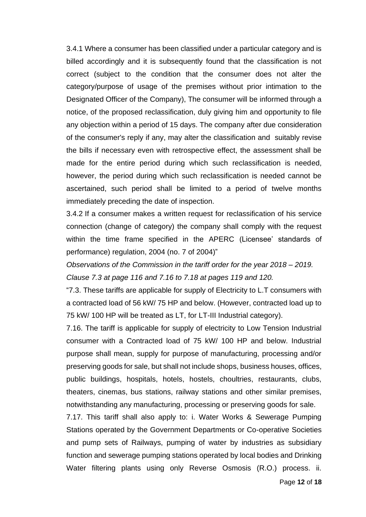3.4.1 Where a consumer has been classified under a particular category and is billed accordingly and it is subsequently found that the classification is not correct (subject to the condition that the consumer does not alter the category/purpose of usage of the premises without prior intimation to the Designated Officer of the Company), The consumer will be informed through a notice, of the proposed reclassification, duly giving him and opportunity to file any objection within a period of 15 days. The company after due consideration of the consumer's reply if any, may alter the classification and suitably revise the bills if necessary even with retrospective effect, the assessment shall be made for the entire period during which such reclassification is needed, however, the period during which such reclassification is needed cannot be ascertained, such period shall be limited to a period of twelve months immediately preceding the date of inspection.

3.4.2 If a consumer makes a written request for reclassification of his service connection (change of category) the company shall comply with the request within the time frame specified in the APERC (Licensee' standards of performance) regulation, 2004 (no. 7 of 2004)"

*Observations of the Commission in the tariff order for the year 2018 – 2019. Clause 7.3 at page 116 and 7.16 to 7.18 at pages 119 and 120.* 

"7.3. These tariffs are applicable for supply of Electricity to L.T consumers with a contracted load of 56 kW/ 75 HP and below. (However, contracted load up to 75 kW/ 100 HP will be treated as LT, for LT-III Industrial category).

7.16. The tariff is applicable for supply of electricity to Low Tension Industrial consumer with a Contracted load of 75 kW/ 100 HP and below. Industrial purpose shall mean, supply for purpose of manufacturing, processing and/or preserving goods for sale, but shall not include shops, business houses, offices, public buildings, hospitals, hotels, hostels, choultries, restaurants, clubs, theaters, cinemas, bus stations, railway stations and other similar premises, notwithstanding any manufacturing, processing or preserving goods for sale.

7.17. This tariff shall also apply to: i. Water Works & Sewerage Pumping Stations operated by the Government Departments or Co-operative Societies and pump sets of Railways, pumping of water by industries as subsidiary function and sewerage pumping stations operated by local bodies and Drinking Water filtering plants using only Reverse Osmosis (R.O.) process. ii.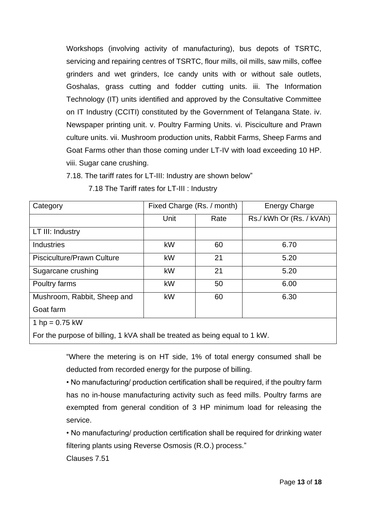Workshops (involving activity of manufacturing), bus depots of TSRTC, servicing and repairing centres of TSRTC, flour mills, oil mills, saw mills, coffee grinders and wet grinders, Ice candy units with or without sale outlets, Goshalas, grass cutting and fodder cutting units. iii. The Information Technology (IT) units identified and approved by the Consultative Committee on IT Industry (CCITI) constituted by the Government of Telangana State. iv. Newspaper printing unit. v. Poultry Farming Units. vi. Pisciculture and Prawn culture units. vii. Mushroom production units, Rabbit Farms, Sheep Farms and Goat Farms other than those coming under LT-IV with load exceeding 10 HP. viii. Sugar cane crushing.

7.18. The tariff rates for LT-III: Industry are shown below"

| Category                          | Fixed Charge (Rs. / month) |      | <b>Energy Charge</b>  |
|-----------------------------------|----------------------------|------|-----------------------|
|                                   | Unit                       | Rate | Rs./kWh Or (Rs./kVAh) |
| LT III: Industry                  |                            |      |                       |
| <b>Industries</b>                 | kW                         | 60   | 6.70                  |
| <b>Pisciculture/Prawn Culture</b> | kW                         | 21   | 5.20                  |
| Sugarcane crushing                | kW                         | 21   | 5.20                  |
| Poultry farms                     | kW                         | 50   | 6.00                  |
| Mushroom, Rabbit, Sheep and       | kW                         | 60   | 6.30                  |
| Goat farm                         |                            |      |                       |
| 1 hp = $0.75$ kW                  |                            |      |                       |
|                                   |                            |      |                       |

7.18 The Tariff rates for LT-III : Industry

For the purpose of billing, 1 kVA shall be treated as being equal to 1 kW.

"Where the metering is on HT side, 1% of total energy consumed shall be deducted from recorded energy for the purpose of billing.

• No manufacturing/ production certification shall be required, if the poultry farm has no in-house manufacturing activity such as feed mills. Poultry farms are exempted from general condition of 3 HP minimum load for releasing the service.

• No manufacturing/ production certification shall be required for drinking water filtering plants using Reverse Osmosis (R.O.) process."

Clauses 7.51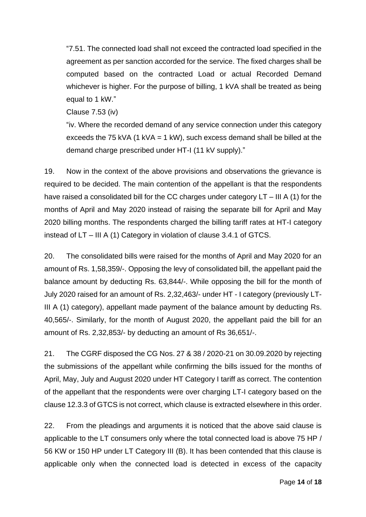"7.51. The connected load shall not exceed the contracted load specified in the agreement as per sanction accorded for the service. The fixed charges shall be computed based on the contracted Load or actual Recorded Demand whichever is higher. For the purpose of billing, 1 kVA shall be treated as being equal to 1 kW."

Clause 7.53 (iv)

"iv. Where the recorded demand of any service connection under this category exceeds the 75 kVA (1 kVA = 1 kW), such excess demand shall be billed at the demand charge prescribed under HT-I (11 kV supply)."

19. Now in the context of the above provisions and observations the grievance is required to be decided. The main contention of the appellant is that the respondents have raised a consolidated bill for the CC charges under category LT – III A (1) for the months of April and May 2020 instead of raising the separate bill for April and May 2020 billing months. The respondents charged the billing tariff rates at HT-I category instead of LT – III A (1) Category in violation of clause 3.4.1 of GTCS.

20. The consolidated bills were raised for the months of April and May 2020 for an amount of Rs. 1,58,359/-. Opposing the levy of consolidated bill, the appellant paid the balance amount by deducting Rs. 63,844/-. While opposing the bill for the month of July 2020 raised for an amount of Rs. 2,32,463/- under HT - I category (previously LT-III A (1) category), appellant made payment of the balance amount by deducting Rs. 40,565/-. Similarly, for the month of August 2020, the appellant paid the bill for an amount of Rs. 2,32,853/- by deducting an amount of Rs 36,651/-.

21. The CGRF disposed the CG Nos. 27 & 38 / 2020-21 on 30.09.2020 by rejecting the submissions of the appellant while confirming the bills issued for the months of April, May, July and August 2020 under HT Category I tariff as correct. The contention of the appellant that the respondents were over charging LT-I category based on the clause 12.3.3 of GTCS is not correct, which clause is extracted elsewhere in this order.

22. From the pleadings and arguments it is noticed that the above said clause is applicable to the LT consumers only where the total connected load is above 75 HP / 56 KW or 150 HP under LT Category III (B). It has been contended that this clause is applicable only when the connected load is detected in excess of the capacity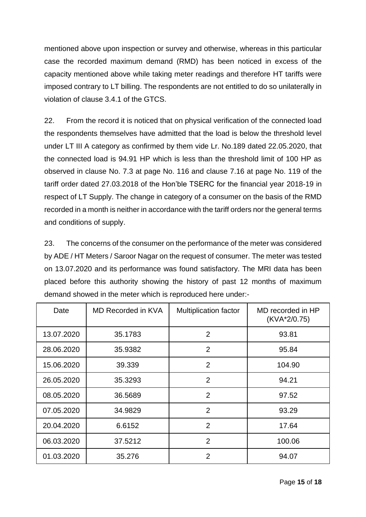mentioned above upon inspection or survey and otherwise, whereas in this particular case the recorded maximum demand (RMD) has been noticed in excess of the capacity mentioned above while taking meter readings and therefore HT tariffs were imposed contrary to LT billing. The respondents are not entitled to do so unilaterally in violation of clause 3.4.1 of the GTCS.

22. From the record it is noticed that on physical verification of the connected load the respondents themselves have admitted that the load is below the threshold level under LT III A category as confirmed by them vide Lr. No.189 dated 22.05.2020, that the connected load is 94.91 HP which is less than the threshold limit of 100 HP as observed in clause No. 7.3 at page No. 116 and clause 7.16 at page No. 119 of the tariff order dated 27.03.2018 of the Hon'ble TSERC for the financial year 2018-19 in respect of LT Supply. The change in category of a consumer on the basis of the RMD recorded in a month is neither in accordance with the tariff orders nor the general terms and conditions of supply.

23. The concerns of the consumer on the performance of the meter was considered by ADE / HT Meters / Saroor Nagar on the request of consumer. The meter was tested on 13.07.2020 and its performance was found satisfactory. The MRI data has been placed before this authority showing the history of past 12 months of maximum demand showed in the meter which is reproduced here under:-

| Date       | MD Recorded in KVA | <b>Multiplication factor</b> | MD recorded in HP<br>(KVA*2/0.75) |
|------------|--------------------|------------------------------|-----------------------------------|
| 13.07.2020 | 35.1783            | $\overline{2}$               | 93.81                             |
| 28.06.2020 | 35.9382            | $\overline{2}$               | 95.84                             |
| 15.06.2020 | 39.339             | $\overline{2}$               | 104.90                            |
| 26.05.2020 | 35.3293            | $\overline{2}$               | 94.21                             |
| 08.05.2020 | 36.5689            | 2                            | 97.52                             |
| 07.05.2020 | 34.9829            | $\overline{2}$               | 93.29                             |
| 20.04.2020 | 6.6152             | $\overline{2}$               | 17.64                             |
| 06.03.2020 | 37.5212            | $\overline{2}$               | 100.06                            |
| 01.03.2020 | 35.276             | $\overline{2}$               | 94.07                             |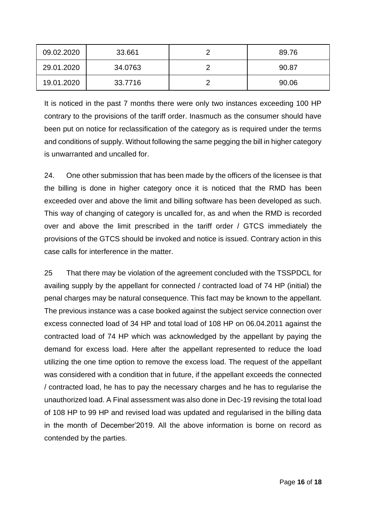| 09.02.2020 | 33.661  | 89.76 |
|------------|---------|-------|
| 29.01.2020 | 34.0763 | 90.87 |
| 19.01.2020 | 33.7716 | 90.06 |

It is noticed in the past 7 months there were only two instances exceeding 100 HP contrary to the provisions of the tariff order. Inasmuch as the consumer should have been put on notice for reclassification of the category as is required under the terms and conditions of supply. Without following the same pegging the bill in higher category is unwarranted and uncalled for.

24. One other submission that has been made by the officers of the licensee is that the billing is done in higher category once it is noticed that the RMD has been exceeded over and above the limit and billing software has been developed as such. This way of changing of category is uncalled for, as and when the RMD is recorded over and above the limit prescribed in the tariff order / GTCS immediately the provisions of the GTCS should be invoked and notice is issued. Contrary action in this case calls for interference in the matter.

25 That there may be violation of the agreement concluded with the TSSPDCL for availing supply by the appellant for connected / contracted load of 74 HP (initial) the penal charges may be natural consequence. This fact may be known to the appellant. The previous instance was a case booked against the subject service connection over excess connected load of 34 HP and total load of 108 HP on 06.04.2011 against the contracted load of 74 HP which was acknowledged by the appellant by paying the demand for excess load. Here after the appellant represented to reduce the load utilizing the one time option to remove the excess load. The request of the appellant was considered with a condition that in future, if the appellant exceeds the connected / contracted load, he has to pay the necessary charges and he has to regularise the unauthorized load. A Final assessment was also done in Dec-19 revising the total load of 108 HP to 99 HP and revised load was updated and regularised in the billing data in the month of December'2019. All the above information is borne on record as contended by the parties.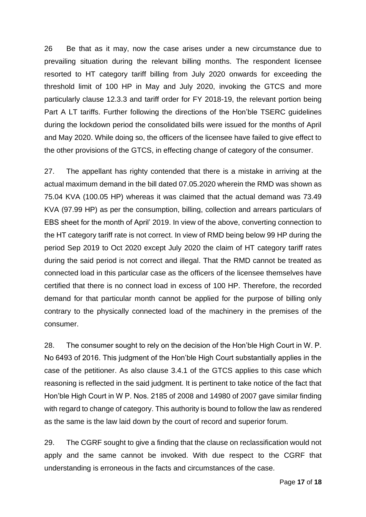26 Be that as it may, now the case arises under a new circumstance due to prevailing situation during the relevant billing months. The respondent licensee resorted to HT category tariff billing from July 2020 onwards for exceeding the threshold limit of 100 HP in May and July 2020, invoking the GTCS and more particularly clause 12.3.3 and tariff order for FY 2018-19, the relevant portion being Part A LT tariffs. Further following the directions of the Hon'ble TSERC guidelines during the lockdown period the consolidated bills were issued for the months of April and May 2020. While doing so, the officers of the licensee have failed to give effect to the other provisions of the GTCS, in effecting change of category of the consumer.

27. The appellant has righty contended that there is a mistake in arriving at the actual maximum demand in the bill dated 07.05.2020 wherein the RMD was shown as 75.04 KVA (100.05 HP) whereas it was claimed that the actual demand was 73.49 KVA (97.99 HP) as per the consumption, billing, collection and arrears particulars of EBS sheet for the month of April' 2019. In view of the above, converting connection to the HT category tariff rate is not correct. In view of RMD being below 99 HP during the period Sep 2019 to Oct 2020 except July 2020 the claim of HT category tariff rates during the said period is not correct and illegal. That the RMD cannot be treated as connected load in this particular case as the officers of the licensee themselves have certified that there is no connect load in excess of 100 HP. Therefore, the recorded demand for that particular month cannot be applied for the purpose of billing only contrary to the physically connected load of the machinery in the premises of the consumer.

28. The consumer sought to rely on the decision of the Hon'ble High Court in W. P. No 6493 of 2016. This judgment of the Hon'ble High Court substantially applies in the case of the petitioner. As also clause 3.4.1 of the GTCS applies to this case which reasoning is reflected in the said judgment. It is pertinent to take notice of the fact that Hon'ble High Court in W P. Nos. 2185 of 2008 and 14980 of 2007 gave similar finding with regard to change of category. This authority is bound to follow the law as rendered as the same is the law laid down by the court of record and superior forum.

29. The CGRF sought to give a finding that the clause on reclassification would not apply and the same cannot be invoked. With due respect to the CGRF that understanding is erroneous in the facts and circumstances of the case.